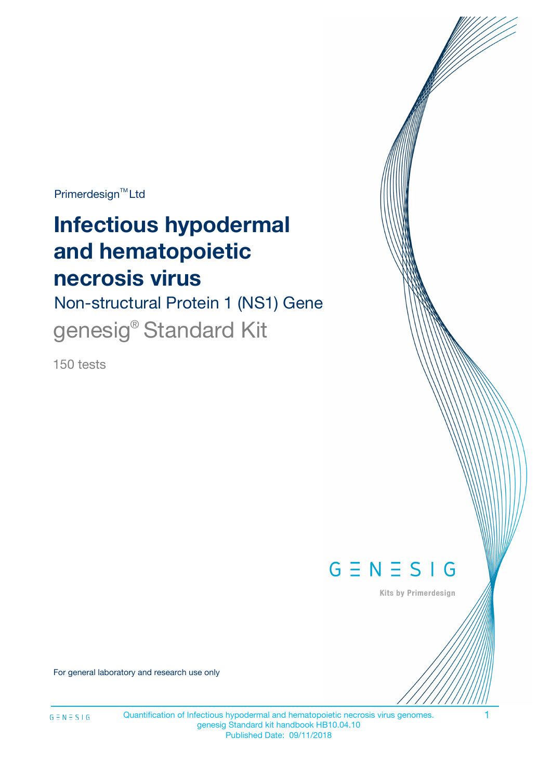Primerdesign<sup>™</sup>Ltd

# **Infectious hypodermal and hematopoietic necrosis virus**

Non-structural Protein 1 (NS1) Gene genesig® Standard Kit

150 tests



Kits by Primerdesign

For general laboratory and research use only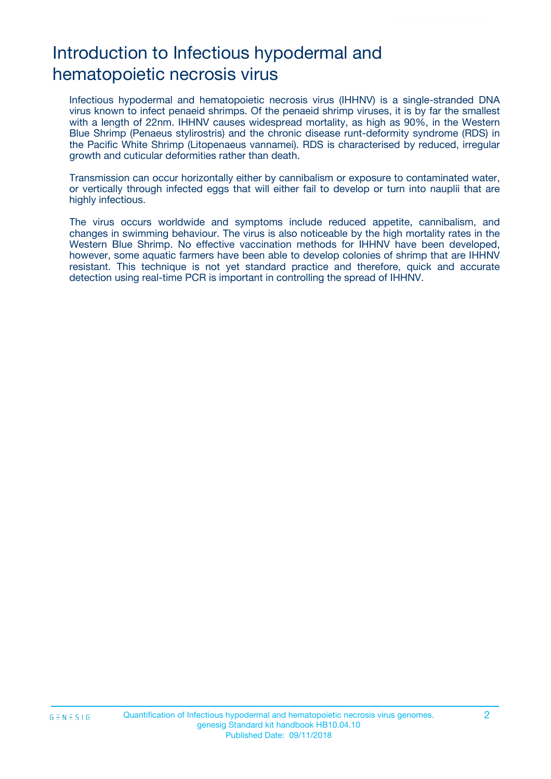## Introduction to Infectious hypodermal and hematopoietic necrosis virus

Infectious hypodermal and hematopoietic necrosis virus (IHHNV) is a single-stranded DNA virus known to infect penaeid shrimps. Of the penaeid shrimp viruses, it is by far the smallest with a length of 22nm. IHHNV causes widespread mortality, as high as 90%, in the Western Blue Shrimp (Penaeus stylirostris) and the chronic disease runt-deformity syndrome (RDS) in the Pacific White Shrimp (Litopenaeus vannamei). RDS is characterised by reduced, irregular growth and cuticular deformities rather than death.

Transmission can occur horizontally either by cannibalism or exposure to contaminated water, or vertically through infected eggs that will either fail to develop or turn into nauplii that are highly infectious.

The virus occurs worldwide and symptoms include reduced appetite, cannibalism, and changes in swimming behaviour. The virus is also noticeable by the high mortality rates in the Western Blue Shrimp. No effective vaccination methods for IHHNV have been developed, however, some aquatic farmers have been able to develop colonies of shrimp that are IHHNV resistant. This technique is not yet standard practice and therefore, quick and accurate detection using real-time PCR is important in controlling the spread of IHHNV.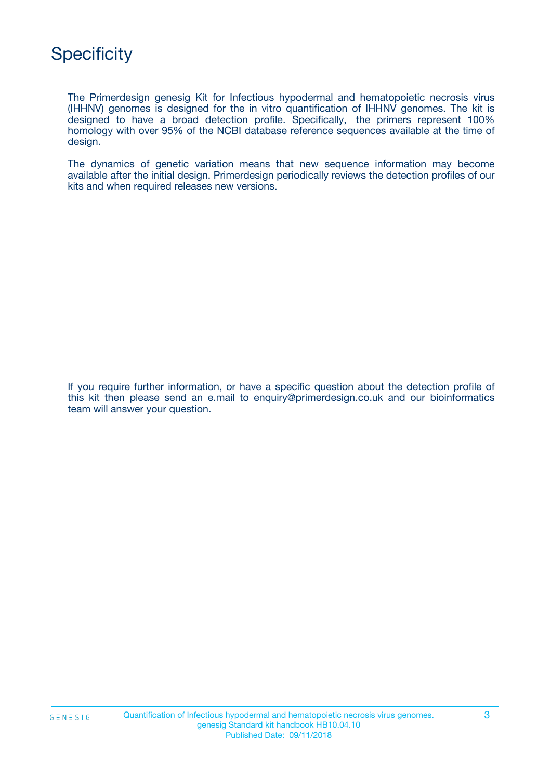## **Specificity**

The Primerdesign genesig Kit for Infectious hypodermal and hematopoietic necrosis virus (IHHNV) genomes is designed for the in vitro quantification of IHHNV genomes. The kit is designed to have a broad detection profile. Specifically, the primers represent 100% homology with over 95% of the NCBI database reference sequences available at the time of design.

The dynamics of genetic variation means that new sequence information may become available after the initial design. Primerdesign periodically reviews the detection profiles of our kits and when required releases new versions.

If you require further information, or have a specific question about the detection profile of this kit then please send an e.mail to enquiry@primerdesign.co.uk and our bioinformatics team will answer your question.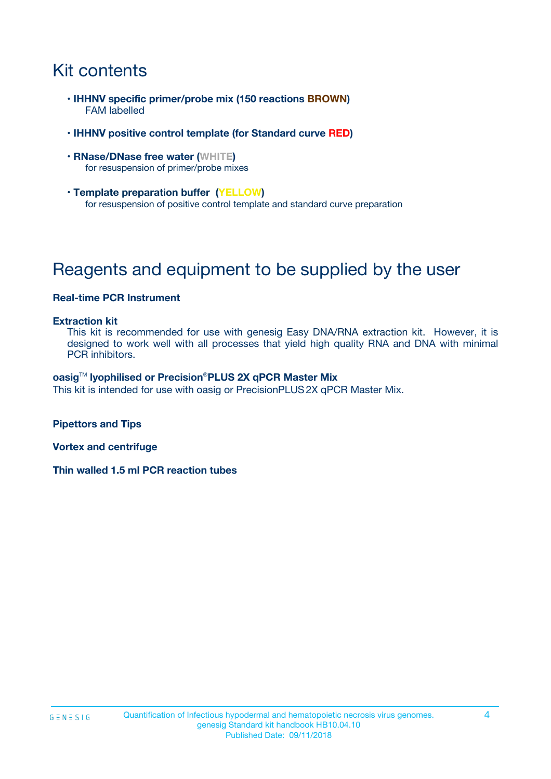## Kit contents

- **IHHNV specific primer/probe mix (150 reactions BROWN)** FAM labelled
- **IHHNV positive control template (for Standard curve RED)**
- **RNase/DNase free water (WHITE)** for resuspension of primer/probe mixes
- **Template preparation buffer (YELLOW)** for resuspension of positive control template and standard curve preparation

## Reagents and equipment to be supplied by the user

#### **Real-time PCR Instrument**

#### **Extraction kit**

This kit is recommended for use with genesig Easy DNA/RNA extraction kit. However, it is designed to work well with all processes that yield high quality RNA and DNA with minimal PCR inhibitors.

#### **oasig**TM **lyophilised or Precision**®**PLUS 2X qPCR Master Mix**

This kit is intended for use with oasig or PrecisionPLUS2X qPCR Master Mix.

**Pipettors and Tips**

**Vortex and centrifuge**

**Thin walled 1.5 ml PCR reaction tubes**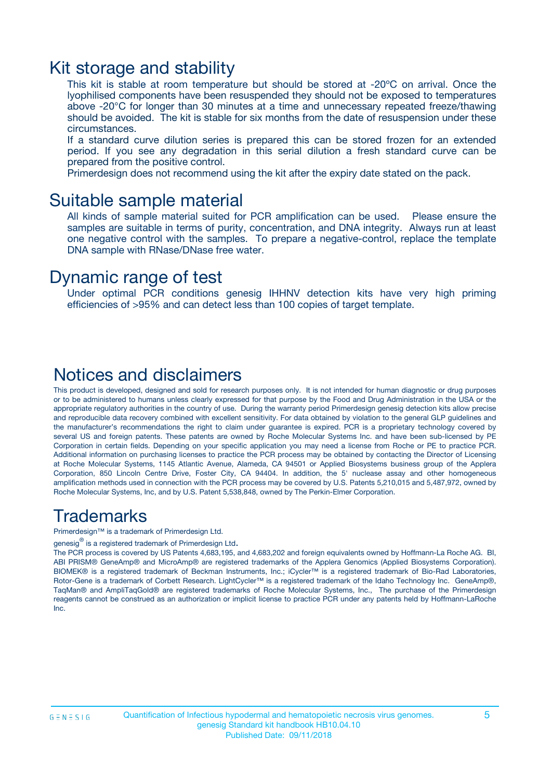### Kit storage and stability

This kit is stable at room temperature but should be stored at -20ºC on arrival. Once the lyophilised components have been resuspended they should not be exposed to temperatures above -20°C for longer than 30 minutes at a time and unnecessary repeated freeze/thawing should be avoided. The kit is stable for six months from the date of resuspension under these circumstances.

If a standard curve dilution series is prepared this can be stored frozen for an extended period. If you see any degradation in this serial dilution a fresh standard curve can be prepared from the positive control.

Primerdesign does not recommend using the kit after the expiry date stated on the pack.

### Suitable sample material

All kinds of sample material suited for PCR amplification can be used. Please ensure the samples are suitable in terms of purity, concentration, and DNA integrity. Always run at least one negative control with the samples. To prepare a negative-control, replace the template DNA sample with RNase/DNase free water.

### Dynamic range of test

Under optimal PCR conditions genesig IHHNV detection kits have very high priming efficiencies of >95% and can detect less than 100 copies of target template.

### Notices and disclaimers

This product is developed, designed and sold for research purposes only. It is not intended for human diagnostic or drug purposes or to be administered to humans unless clearly expressed for that purpose by the Food and Drug Administration in the USA or the appropriate regulatory authorities in the country of use. During the warranty period Primerdesign genesig detection kits allow precise and reproducible data recovery combined with excellent sensitivity. For data obtained by violation to the general GLP guidelines and the manufacturer's recommendations the right to claim under guarantee is expired. PCR is a proprietary technology covered by several US and foreign patents. These patents are owned by Roche Molecular Systems Inc. and have been sub-licensed by PE Corporation in certain fields. Depending on your specific application you may need a license from Roche or PE to practice PCR. Additional information on purchasing licenses to practice the PCR process may be obtained by contacting the Director of Licensing at Roche Molecular Systems, 1145 Atlantic Avenue, Alameda, CA 94501 or Applied Biosystems business group of the Applera Corporation, 850 Lincoln Centre Drive, Foster City, CA 94404. In addition, the 5' nuclease assay and other homogeneous amplification methods used in connection with the PCR process may be covered by U.S. Patents 5,210,015 and 5,487,972, owned by Roche Molecular Systems, Inc, and by U.S. Patent 5,538,848, owned by The Perkin-Elmer Corporation.

### Trademarks

Primerdesign™ is a trademark of Primerdesign Ltd.

genesig $^\circledR$  is a registered trademark of Primerdesign Ltd.

The PCR process is covered by US Patents 4,683,195, and 4,683,202 and foreign equivalents owned by Hoffmann-La Roche AG. BI, ABI PRISM® GeneAmp® and MicroAmp® are registered trademarks of the Applera Genomics (Applied Biosystems Corporation). BIOMEK® is a registered trademark of Beckman Instruments, Inc.; iCycler™ is a registered trademark of Bio-Rad Laboratories, Rotor-Gene is a trademark of Corbett Research. LightCycler™ is a registered trademark of the Idaho Technology Inc. GeneAmp®, TaqMan® and AmpliTaqGold® are registered trademarks of Roche Molecular Systems, Inc., The purchase of the Primerdesign reagents cannot be construed as an authorization or implicit license to practice PCR under any patents held by Hoffmann-LaRoche Inc.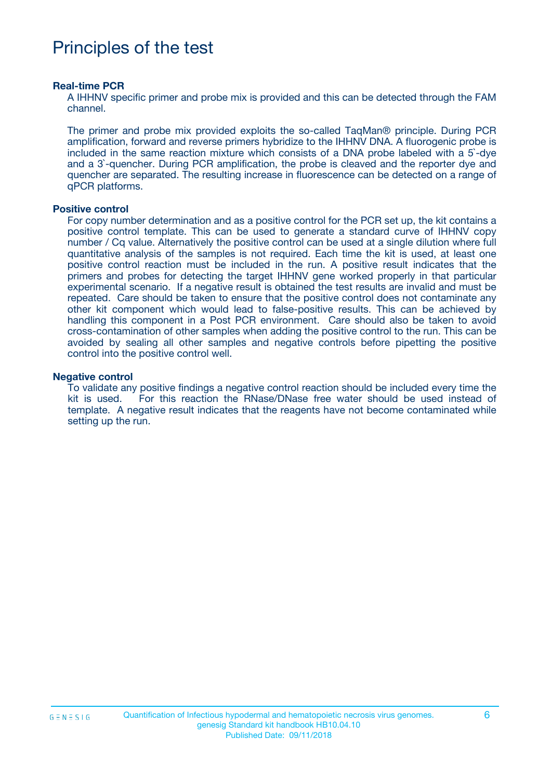## Principles of the test

#### **Real-time PCR**

A IHHNV specific primer and probe mix is provided and this can be detected through the FAM channel.

The primer and probe mix provided exploits the so-called TaqMan® principle. During PCR amplification, forward and reverse primers hybridize to the IHHNV DNA. A fluorogenic probe is included in the same reaction mixture which consists of a DNA probe labeled with a 5`-dye and a 3`-quencher. During PCR amplification, the probe is cleaved and the reporter dye and quencher are separated. The resulting increase in fluorescence can be detected on a range of qPCR platforms.

#### **Positive control**

For copy number determination and as a positive control for the PCR set up, the kit contains a positive control template. This can be used to generate a standard curve of IHHNV copy number / Cq value. Alternatively the positive control can be used at a single dilution where full quantitative analysis of the samples is not required. Each time the kit is used, at least one positive control reaction must be included in the run. A positive result indicates that the primers and probes for detecting the target IHHNV gene worked properly in that particular experimental scenario. If a negative result is obtained the test results are invalid and must be repeated. Care should be taken to ensure that the positive control does not contaminate any other kit component which would lead to false-positive results. This can be achieved by handling this component in a Post PCR environment. Care should also be taken to avoid cross-contamination of other samples when adding the positive control to the run. This can be avoided by sealing all other samples and negative controls before pipetting the positive control into the positive control well.

#### **Negative control**

To validate any positive findings a negative control reaction should be included every time the kit is used. For this reaction the RNase/DNase free water should be used instead of template. A negative result indicates that the reagents have not become contaminated while setting up the run.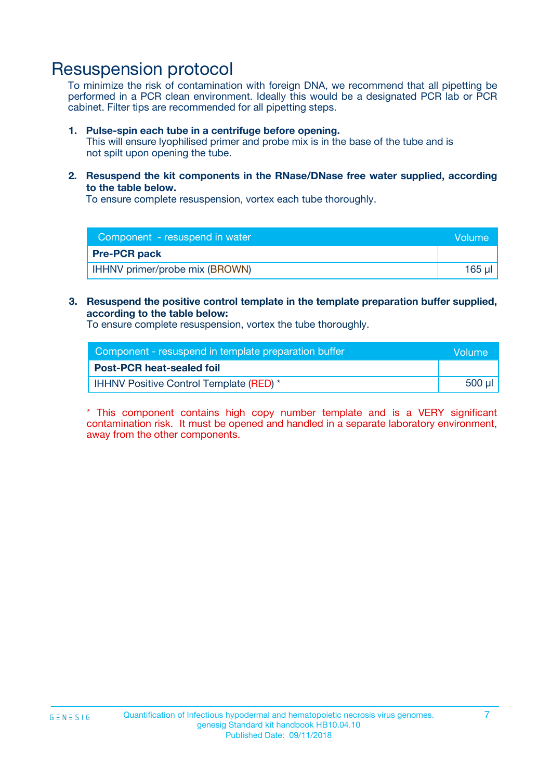### Resuspension protocol

To minimize the risk of contamination with foreign DNA, we recommend that all pipetting be performed in a PCR clean environment. Ideally this would be a designated PCR lab or PCR cabinet. Filter tips are recommended for all pipetting steps.

#### **1. Pulse-spin each tube in a centrifuge before opening.**

This will ensure lyophilised primer and probe mix is in the base of the tube and is not spilt upon opening the tube.

**2. Resuspend the kit components in the RNase/DNase free water supplied, according to the table below.**

To ensure complete resuspension, vortex each tube thoroughly.

| Component - resuspend in water       | Volume: |
|--------------------------------------|---------|
| <b>Pre-PCR pack</b>                  |         |
| <b>HHNV</b> primer/probe mix (BROWN) | 165 µ   |

#### **3. Resuspend the positive control template in the template preparation buffer supplied, according to the table below:**

To ensure complete resuspension, vortex the tube thoroughly.

| Component - resuspend in template preparation buffer |         |  |
|------------------------------------------------------|---------|--|
| <b>Post-PCR heat-sealed foil</b>                     |         |  |
| <b>IHHNV Positive Control Template (RED)</b> *       | $500$ µ |  |

\* This component contains high copy number template and is a VERY significant contamination risk. It must be opened and handled in a separate laboratory environment, away from the other components.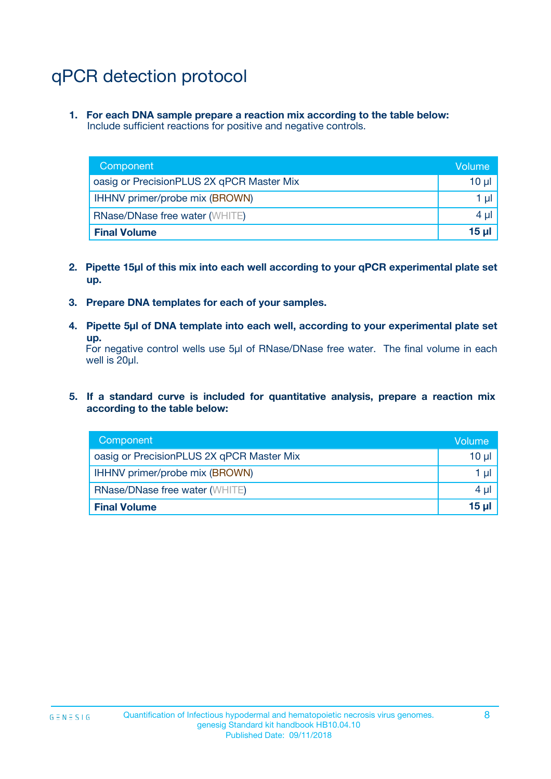## qPCR detection protocol

**1. For each DNA sample prepare a reaction mix according to the table below:** Include sufficient reactions for positive and negative controls.

| Component                                 | Volume          |
|-------------------------------------------|-----------------|
| oasig or PrecisionPLUS 2X qPCR Master Mix | 10 $\mu$        |
| IHHNV primer/probe mix (BROWN)            | 1 $\mu$         |
| <b>RNase/DNase free water (WHITE)</b>     | $4 \mu$         |
| <b>Final Volume</b>                       | 15 <sub>µ</sub> |

- **2. Pipette 15µl of this mix into each well according to your qPCR experimental plate set up.**
- **3. Prepare DNA templates for each of your samples.**
- **4. Pipette 5µl of DNA template into each well, according to your experimental plate set up.**

For negative control wells use 5µl of RNase/DNase free water. The final volume in each well is 20µl.

**5. If a standard curve is included for quantitative analysis, prepare a reaction mix according to the table below:**

| Component                                 | Volume     |
|-------------------------------------------|------------|
| oasig or PrecisionPLUS 2X qPCR Master Mix | $10 \mu$   |
| IHHNV primer/probe mix (BROWN)            | 1 µI       |
| <b>RNase/DNase free water (WHITE)</b>     | $4 \mu$    |
| <b>Final Volume</b>                       | $15$ $\mu$ |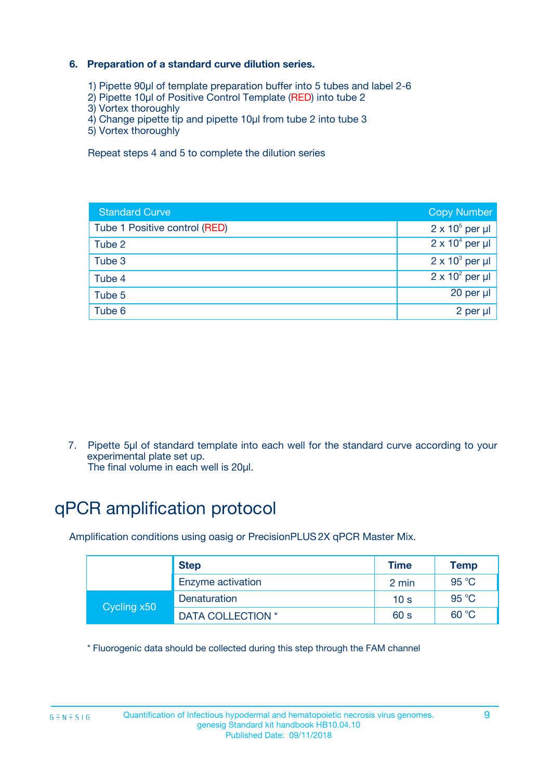### **6. Preparation of a standard curve dilution series.**

- 1) Pipette 90µl of template preparation buffer into 5 tubes and label 2-6
- 2) Pipette 10µl of Positive Control Template (RED) into tube 2
- 3) Vortex thoroughly
- 4) Change pipette tip and pipette 10µl from tube 2 into tube 3
- 5) Vortex thoroughly

Repeat steps 4 and 5 to complete the dilution series

| <b>Standard Curve</b>         | <b>Copy Number</b>     |
|-------------------------------|------------------------|
| Tube 1 Positive control (RED) | $2 \times 10^5$ per µl |
| Tube 2                        | $2 \times 10^4$ per µl |
| Tube 3                        | $2 \times 10^3$ per µl |
| Tube 4                        | $2 \times 10^2$ per µl |
| Tube 5                        | 20 per µl              |
| Tube 6                        | $2$ per $\mu$          |

7. Pipette 5µl of standard template into each well for the standard curve according to your experimental plate set up.

The final volume in each well is 20µl.

## qPCR amplification protocol

Amplification conditions using oasig or PrecisionPLUS2X qPCR Master Mix.

| <b>Step</b> |                   | <b>Time</b>     | Temp    |
|-------------|-------------------|-----------------|---------|
|             | Enzyme activation | 2 min           | 95 °C   |
| Cycling x50 | Denaturation      | 10 <sub>s</sub> | 95 $°C$ |
|             | DATA COLLECTION * | 60 s            | 60 °C   |

\* Fluorogenic data should be collected during this step through the FAM channel

 $G \equiv N \equiv S \mid G$